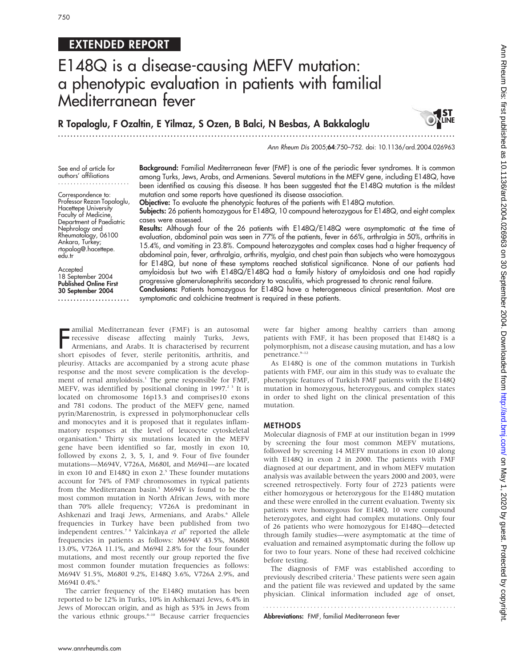# EXTENDED REPORT

# E148Q is a disease-causing MEFV mutation: a phenotypic evaluation in patients with familial Mediterranean fever

R Topaloglu, F Ozaltin, E Yilmaz, S Ozen, B Balci, N Besbas, A Bakkaloglu ...............................................................................................................................



Ann Rheum Dis 2005;64:750–752. doi: 10.1136/ard.2004.026963

See end of article for authors' affiliations .......................

Correspondence to: Professor Rezan Topaloglu, Hacettepe University Faculty of Medicine, Department of Paediatric Nephrology and Rheumatology, 06100 Ankara, Turkey; rtopalog@.hacettepe. edu.tr

Accepted 18 September 2004 Published Online First 30 September 2004 ....................... Background: Familial Mediterranean fever (FMF) is one of the periodic fever syndromes. It is common among Turks, Jews, Arabs, and Armenians. Several mutations in the MEFV gene, including E148Q, have been identified as causing this disease. It has been suggested that the E148Q mutation is the mildest mutation and some reports have questioned its disease association.

Objective: To evaluate the phenotypic features of the patients with E148Q mutation.

Subjects: 26 patients homozygous for E148Q, 10 compound heterozygous for E148Q, and eight complex cases were assessed.

Results: Although four of the 26 patients with E148Q/E148Q were asymptomatic at the time of evaluation, abdominal pain was seen in 77% of the patients, fever in 66%, arthralgia in 50%, arthritis in 15.4%, and vomiting in 23.8%. Compound heterozygotes and complex cases had a higher frequency of abdominal pain, fever, arthralgia, arthritis, myalgia, and chest pain than subjects who were homozygous for E148Q, but none of these symptoms reached statistical significance. None of our patients had amyloidosis but two with E148Q/E148Q had a family history of amyloidosis and one had rapidly progressive glomerulonephritis secondary to vasculitis, which progressed to chronic renal failure.

Conclusions: Patients homozygous for E148Q have a heterogeneous clinical presentation. Most are symptomatic and colchicine treatment is required in these patients.

Framilial Mediterranean fever (FMF) is an autosomal<br>recessive disease affecting mainly Turks, Jews,<br>Armenians, and Arabs. It is characterised by recurrent<br>short episodes of fever, sterile peritonitis, arthritis, and amilial Mediterranean fever (FMF) is an autosomal recessive disease affecting mainly Turks, Jews, Armenians, and Arabs. It is characterised by recurrent pleurisy. Attacks are accompanied by a strong acute phase response and the most severe complication is the development of renal amyloidosis.<sup>1</sup> The gene responsible for FMF, MEFV, was identified by positional cloning in 1997.<sup>23</sup> It is located on chromosome 16p13.3 and comprises10 exons and 781 codons. The product of the MEFV gene, named pyrin/Marenostrin, is expressed in polymorphonuclear cells and monocytes and it is proposed that it regulates inflammatory responses at the level of leucocyte cytoskeletal organisation.4 Thirty six mutations located in the MEFV gene have been identified so far, mostly in exon 10, followed by exons 2, 3, 5, 1, and 9. Four of five founder mutations—M694V, V726A, M680I, and M694I—are located in exon 10 and E148Q in exon 2.<sup>5</sup> These founder mutations account for 74% of FMF chromosomes in typical patients from the Mediterranean basin.<sup>5</sup> M694V is found to be the most common mutation in North African Jews, with more than 70% allele frequency; V726A is predominant in Ashkenazi and Iraqi Jews, Armenians, and Arabs.<sup>6</sup> Allele frequencies in Turkey have been published from two independent centres.<sup>7</sup> <sup>8</sup> Yalcinkaya et al<sup>7</sup> reported the allele frequencies in patients as follows: M694V 43.5%, M680I 13.0%, V726A 11.1%, and M694I 2.8% for the four founder mutations, and most recently our group reported the five most common founder mutation frequencies as follows: M694V 51.5%, M680I 9.2%, E148Q 3.6%, V726A 2.9%, and M694I 0.4%.<sup>8</sup>

The carrier frequency of the E148Q mutation has been reported to be 12% in Turks, 10% in Ashkenazi Jews, 6.4% in Jews of Moroccan origin, and as high as 53% in Jews from the various ethnic groups.<sup>8-10</sup> Because carrier frequencies were far higher among healthy carriers than among patients with FMF, it has been proposed that E148Q is a polymorphism, not a disease causing mutation, and has a low penetrance.<sup>9-12</sup>

As E148Q is one of the common mutations in Turkish patients with FMF, our aim in this study was to evaluate the phenotypic features of Turkish FMF patients with the E148Q mutation in homozygous, heterozygous, and complex states in order to shed light on the clinical presentation of this mutation.

## METHODS

Molecular diagnosis of FMF at our institution began in 1999 by screening the four most common MEFV mutations, followed by screening 14 MEFV mutations in exon 10 along with E148Q in exon 2 in 2000. The patients with FMF diagnosed at our department, and in whom MEFV mutation analysis was available between the years 2000 and 2003, were screened retrospectively. Forty four of 2723 patients were either homozygous or heterozygous for the E148Q mutation and these were enrolled in the current evaluation. Twenty six patients were homozygous for E148Q, 10 were compound heterozygotes, and eight had complex mutations. Only four of 26 patients who were homozygous for E148Q—detected through family studies—were asymptomatic at the time of evaluation and remained asymptomatic during the follow up for two to four years. None of these had received colchicine before testing.

The diagnosis of FMF was established according to previously described criteria.<sup>1</sup> These patients were seen again and the patient file was reviewed and updated by the same physician. Clinical information included age of onset,

Abbreviations: FMF, familial Mediterranean fever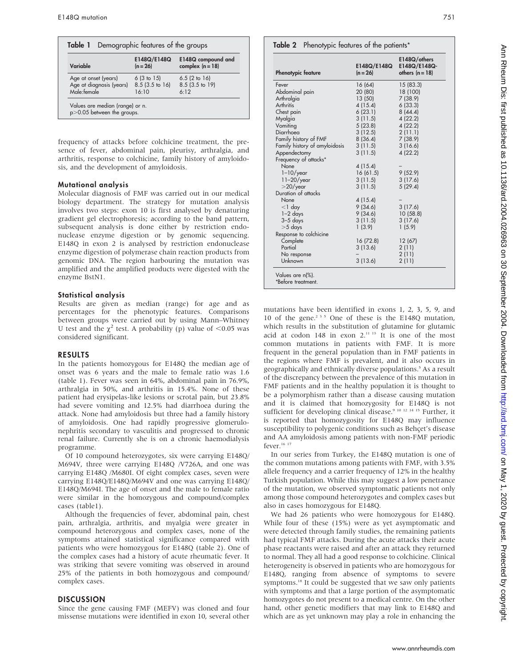| Demographic features of the groups<br>Table 1                   |                                          |                                          |
|-----------------------------------------------------------------|------------------------------------------|------------------------------------------|
| Variable                                                        | E148Q/E148Q<br>$(n = 26)$                | E148Q compound and<br>complex $(n = 18)$ |
| Age at onset (years)<br>Age at diagnosis (years)<br>Male:female | 6(3 to 15)<br>$8.5$ (3.5 to 16)<br>16:10 | 6.5(2 to 16)<br>8.5 (3.5 to 19)<br>6.12  |
| Values are median (range) or n.<br>p>0.05 between the groups.   |                                          |                                          |

frequency of attacks before colchicine treatment, the presence of fever, abdominal pain, pleurisy, arthralgia, and arthritis, response to colchicine, family history of amyloidosis, and the development of amyloidosis.

#### Mutational analysis

Molecular diagnosis of FMF was carried out in our medical biology department. The strategy for mutation analysis involves two steps: exon 10 is first analysed by denaturing gradient gel electrophoresis; according to the band pattern, subsequent analysis is done either by restriction endonuclease enzyme digestion or by genomic sequencing. E148Q in exon 2 is analysed by restriction endonuclease enzyme digestion of polymerase chain reaction products from genomic DNA. The region harbouring the mutation was amplified and the amplified products were digested with the enzyme BstN1.

#### Statistical analysis

Results are given as median (range) for age and as percentages for the phenotypic features. Comparisons between groups were carried out by using Mann–Whitney U test and the  $\chi^2$  test. A probability (p) value of <0.05 was considered significant.

## RESULTS

In the patients homozygous for E148Q the median age of onset was 6 years and the male to female ratio was 1.6 (table 1). Fever was seen in 64%, abdominal pain in 76.9%, arthralgia in 50%, and arthritis in 15.4%. None of these patient had erysipelas-like lesions or scrotal pain, but 23.8% had severe vomiting and 12.5% had diarrhoea during the attack. None had amyloidosis but three had a family history of amyloidosis. One had rapidly progressive glomerulonephritis secondary to vasculitis and progressed to chronic renal failure. Currently she is on a chronic haemodialysis programme.

Of 10 compound heterozygotes, six were carrying E148Q/ M694V, three were carrying E148Q /V726A, and one was carrying E148Q /M680I. Of eight complex cases, seven were carrying E148Q/E148Q/M694V and one was carrying E148Q/ E148Q/M694I. The age of onset and the male to female ratio were similar in the homozygous and compound/complex cases (table1).

Although the frequencies of fever, abdominal pain, chest pain, arthralgia, arthritis, and myalgia were greater in compound heterozygous and complex cases, none of the symptoms attained statistical significance compared with patients who were homozygous for E148Q (table 2). One of the complex cases had a history of acute rheumatic fever. It was striking that severe vomiting was observed in around 25% of the patients in both homozygous and compound/ complex cases.

## **DISCUSSION**

Since the gene causing FMF (MEFV) was cloned and four missense mutations were identified in exon 10, several other

E148Q/others E148Q/E148Qothers  $(n = 18)$ 

| ļ                                                                                           |
|---------------------------------------------------------------------------------------------|
|                                                                                             |
|                                                                                             |
|                                                                                             |
|                                                                                             |
|                                                                                             |
|                                                                                             |
|                                                                                             |
|                                                                                             |
|                                                                                             |
|                                                                                             |
|                                                                                             |
|                                                                                             |
|                                                                                             |
|                                                                                             |
|                                                                                             |
|                                                                                             |
|                                                                                             |
|                                                                                             |
|                                                                                             |
|                                                                                             |
|                                                                                             |
|                                                                                             |
| hran 10 11 28/112 JODA DJBOR3 25 30 Rented Br                                               |
|                                                                                             |
|                                                                                             |
|                                                                                             |
|                                                                                             |
|                                                                                             |
|                                                                                             |
|                                                                                             |
|                                                                                             |
|                                                                                             |
|                                                                                             |
|                                                                                             |
| $\frac{1}{2}$                                                                               |
|                                                                                             |
|                                                                                             |
|                                                                                             |
|                                                                                             |
|                                                                                             |
|                                                                                             |
|                                                                                             |
| J                                                                                           |
|                                                                                             |
|                                                                                             |
|                                                                                             |
|                                                                                             |
|                                                                                             |
|                                                                                             |
|                                                                                             |
| ונחת הפונטומונות ה- במסך בית המוקפת מר וום המפתקת ה- המינו המינו היו כי פי הפונטומות ופונטו |
|                                                                                             |
|                                                                                             |
|                                                                                             |
|                                                                                             |
|                                                                                             |
| om http://ar                                                                                |
|                                                                                             |
|                                                                                             |
|                                                                                             |
|                                                                                             |
|                                                                                             |
|                                                                                             |
|                                                                                             |
|                                                                                             |
|                                                                                             |
|                                                                                             |
|                                                                                             |
|                                                                                             |
|                                                                                             |
|                                                                                             |
|                                                                                             |
|                                                                                             |
|                                                                                             |
|                                                                                             |
|                                                                                             |
|                                                                                             |
|                                                                                             |
|                                                                                             |
|                                                                                             |
|                                                                                             |
|                                                                                             |
|                                                                                             |
|                                                                                             |
|                                                                                             |
|                                                                                             |
|                                                                                             |
|                                                                                             |
| l                                                                                           |

mutations have been identified in exons 1, 2, 3, 5, 9, and 10 of the gene.235 One of these is the E148Q mutation, which results in the substitution of glutamine for glutamic acid at codon 148 in exon  $2.^{11}$  13 It is one of the most common mutations in patients with FMF. It is more frequent in the general population than in FMF patients in the regions where FMF is prevalent, and it also occurs in geographically and ethnically diverse populations.<sup>5</sup> As a result of the discrepancy between the prevalence of this mutation in FMF patients and in the healthy population it is thought to be a polymorphism rather than a disease causing mutation and it is claimed that homozygosity for E148Q is not sufficient for developing clinical disease.<sup>9 10 12 14 15</sup> Further, it is reported that homozygosity for E148Q may influence susceptibility to polygenic conditions such as Behçet's disease and AA amyloidosis among patients with non-FMF periodic fever.<sup>16</sup><sup>17</sup>

Table 2 Phenotypic features of the patients\*

Fever 16 (64) 15 (83.3) Abdominal pain 20 (80) 18 (100) Arthralgia 13 (50) 7 (38.9)

Chest pain 6 (23.1) 8 (44.4)<br>Mygleig 3 (11.5) 4 (22.2)

Vomiting 5 (23.8) 4 (22.2)<br>Diarrhoea 3 (12.5) 2 (11.1)

Family history of amyloidosis 3 (11.5) 3 (16.6)<br>Appendectomy 3 (11.5) 4 (22.2)

None 4 (15.4) –<br>1-10/year 16 (61.5) 9 (52.9) 1–10/year 16 (61.5) 9 (52.9)<br>11–20/year 3 (11.5) 3 (17.6) 11–20/year 3 (11.5) 3 (17.6)<br>
-20/year 3 (11.5) 5 (29.4)

1–2 days 9 (34.6) 10 (58.8)

Complete 16 (72.8) 12 (67) Partial 3 (13.6) 2 (11)<br>No response – 2 (11)

Unknown 3 (13.6) 2 (11)

Chest pain 6 (23.1)<br>Myalaja 3 (11.5)

None 4 (15.4)<br>  $1 \text{ day}$  4 (15.4)

3–5 days 3 (11.5)<br>
3 (11.5) 3 (11.5) 3 (11.5)

E148Q/E148Q  $(n = 26)$ 

3 (12.5) 2 (11.1)<br>8 (36.4) 7 (38.9)

9 (34.6) 3 (17.6)<br>9 (34.6) 10 (58.8

 $1(5.9)$ 

 $4(15.4)$ 

Phenotypic feature

Family history of FMF

Appendectomy Frequency of attacks\*

 $>$  20/year Duration of attacks<br>None

Response to colchicine

No response

Values are n(%). \*Before treatment.

In our series from Turkey, the E148Q mutation is one of the common mutations among patients with FMF, with 3.5% allele frequency and a carrier frequency of 12% in the healthy Turkish population. While this may suggest a low penetrance of the mutation, we observed symptomatic patients not only among those compound heterozygotes and complex cases but also in cases homozygous for E148Q.

We had 26 patients who were homozygous for E148Q. While four of these (15%) were as yet asymptomatic and were detected through family studies, the remaining patients had typical FMF attacks. During the acute attacks their acute phase reactants were raised and after an attack they returned to normal. They all had a good response to colchicine. Clinical heterogeneity is observed in patients who are homozygous for E148Q, ranging from absence of symptoms to severe symptoms.<sup>18</sup> It could be suggested that we saw only patients with symptoms and that a large portion of the asymptomatic homozygotes do not present to a medical centre. On the other hand, other genetic modifiers that may link to E148Q and which are as yet unknown may play a role in enhancing the